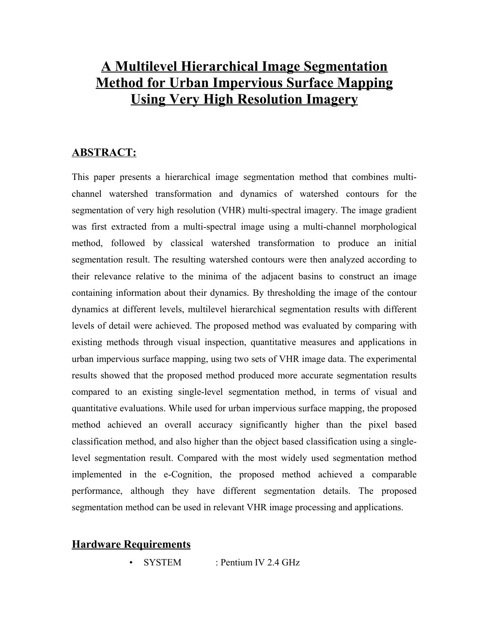# **A Multilevel Hierarchical Image Segmentation Method for Urban Impervious Surface Mapping Using Very High Resolution Imagery**

## **ABSTRACT:**

This paper presents a hierarchical image segmentation method that combines multichannel watershed transformation and dynamics of watershed contours for the segmentation of very high resolution (VHR) multi-spectral imagery. The image gradient was first extracted from a multi-spectral image using a multi-channel morphological method, followed by classical watershed transformation to produce an initial segmentation result. The resulting watershed contours were then analyzed according to their relevance relative to the minima of the adjacent basins to construct an image containing information about their dynamics. By thresholding the image of the contour dynamics at different levels, multilevel hierarchical segmentation results with different levels of detail were achieved. The proposed method was evaluated by comparing with existing methods through visual inspection, quantitative measures and applications in urban impervious surface mapping, using two sets of VHR image data. The experimental results showed that the proposed method produced more accurate segmentation results compared to an existing single-level segmentation method, in terms of visual and quantitative evaluations. While used for urban impervious surface mapping, the proposed method achieved an overall accuracy significantly higher than the pixel based classification method, and also higher than the object based classification using a singlelevel segmentation result. Compared with the most widely used segmentation method implemented in the e-Cognition, the proposed method achieved a comparable performance, although they have different segmentation details. The proposed segmentation method can be used in relevant VHR image processing and applications.

#### **Hardware Requirements**

SYSTEM : Pentium IV 2.4 GHz